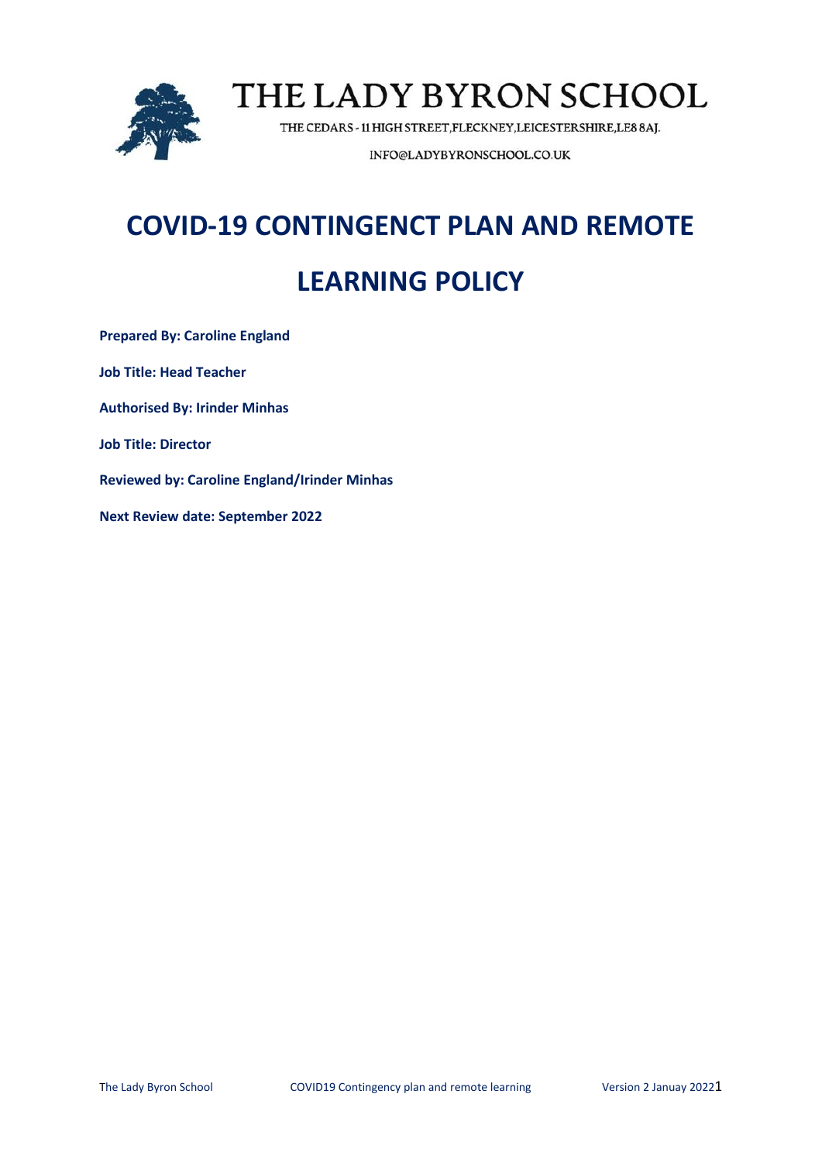

THE CEDARS - 11 HIGH STREET, FLECKNEY, LEICESTERSHIRE, LE8 8AJ.

INFO@LADYBYRONSCHOOL.CO.UK

# **COVID-19 CONTINGENCT PLAN AND REMOTE LEARNING POLICY**

**Prepared By: Caroline England Job Title: Head Teacher Authorised By: Irinder Minhas Job Title: Director Reviewed by: Caroline England/Irinder Minhas Next Review date: September 2022**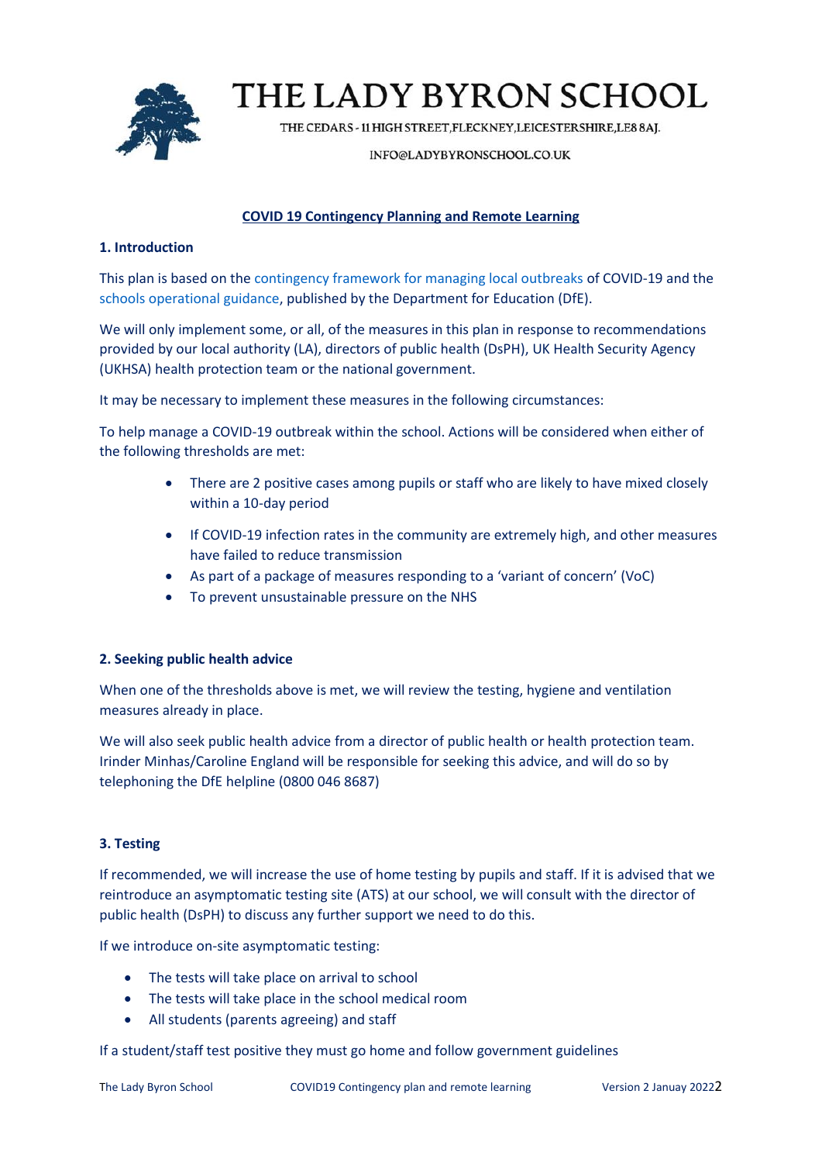

THE CEDARS - 11 HIGH STREET, FLECKNEY, LEICESTERSHIRE, LE8 8AJ.

#### INFO@LADYBYRONSCHOOL.CO.UK

## **COVID 19 Contingency Planning and Remote Learning**

## **1. Introduction**

This plan is based on the [contingency framework for managing local outbreaks](https://www.gov.uk/government/publications/coronavirus-covid-19-local-restrictions-in-education-and-childcare-settings) of COVID-19 and the [schools operational guidance,](https://www.gov.uk/government/publications/actions-for-schools-during-the-coronavirus-outbreak) published by the Department for Education (DfE).

We will only implement some, or all, of the measures in this plan in response to recommendations provided by our local authority (LA), directors of public health (DsPH), UK Health Security Agency (UKHSA) health protection team or the national government.

It may be necessary to implement these measures in the following circumstances:

To help manage a COVID-19 outbreak within the school. Actions will be considered when either of the following thresholds are met:

- There are 2 positive cases among pupils or staff who are likely to have mixed closely within a 10-day period
- If COVID-19 infection rates in the community are extremely high, and other measures have failed to reduce transmission
- As part of a package of measures responding to a 'variant of concern' (VoC)
- To prevent unsustainable pressure on the NHS

## **2. Seeking public health advice**

When one of the thresholds above is met, we will review the testing, hygiene and ventilation measures already in place.

We will also seek public health advice from a director of public health or health protection team. Irinder Minhas/Caroline England will be responsible for seeking this advice, and will do so by telephoning the DfE helpline (0800 046 8687)

## **3. Testing**

If recommended, we will increase the use of home testing by pupils and staff. If it is advised that we reintroduce an asymptomatic testing site (ATS) at our school, we will consult with the director of public health (DsPH) to discuss any further support we need to do this.

If we introduce on-site asymptomatic testing:

- The tests will take place on arrival to school
- The tests will take place in the school medical room
- All students (parents agreeing) and staff

If a student/staff test positive they must go home and follow government guidelines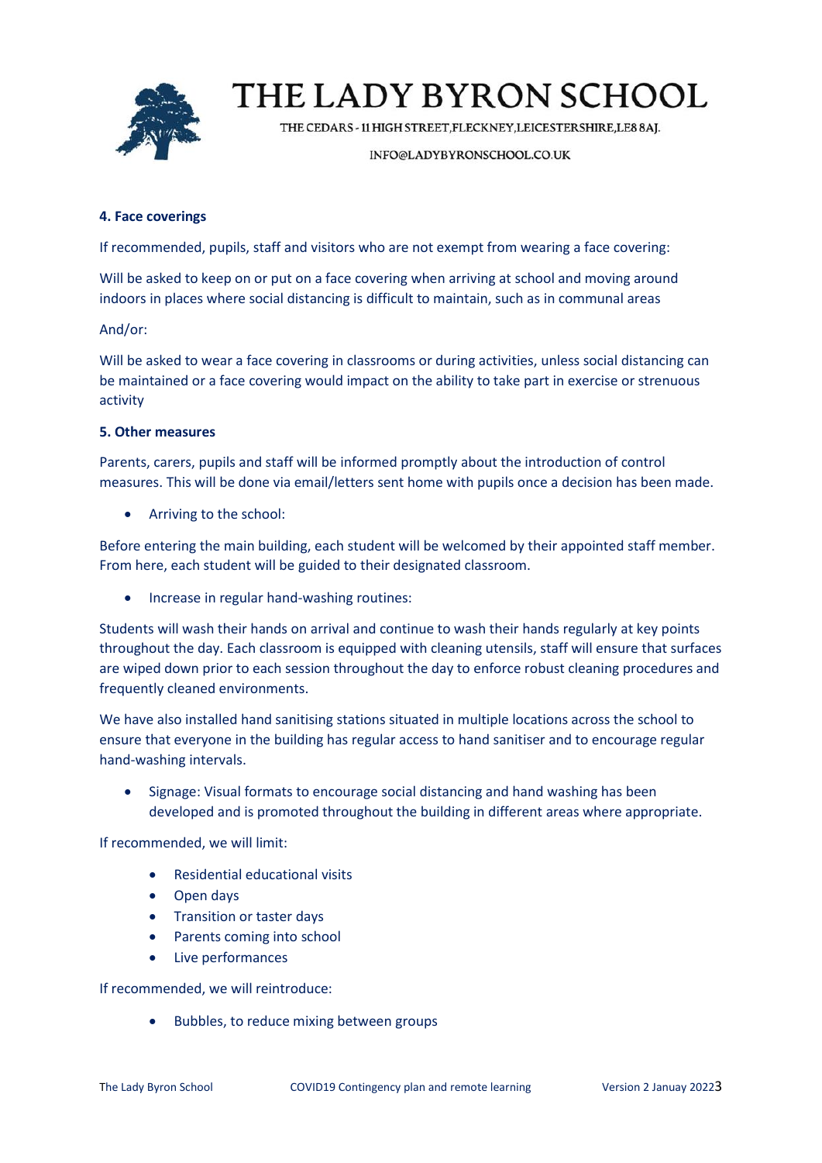

THE CEDARS - 11 HIGH STREET, FLECKNEY, LEICESTERSHIRE, LE8 8AJ.

#### INFO@LADYBYRONSCHOOL.CO.UK

## **4. Face coverings**

If recommended, pupils, staff and visitors who are not exempt from wearing a face covering:

Will be asked to keep on or put on a face covering when arriving at school and moving around indoors in places where social distancing is difficult to maintain, such as in communal areas

## And/or:

Will be asked to wear a face covering in classrooms or during activities, unless social distancing can be maintained or a face covering would impact on the ability to take part in exercise or strenuous activity

### **5. Other measures**

Parents, carers, pupils and staff will be informed promptly about the introduction of control measures. This will be done via email/letters sent home with pupils once a decision has been made.

• Arriving to the school:

Before entering the main building, each student will be welcomed by their appointed staff member. From here, each student will be guided to their designated classroom.

• Increase in regular hand-washing routines:

Students will wash their hands on arrival and continue to wash their hands regularly at key points throughout the day. Each classroom is equipped with cleaning utensils, staff will ensure that surfaces are wiped down prior to each session throughout the day to enforce robust cleaning procedures and frequently cleaned environments.

We have also installed hand sanitising stations situated in multiple locations across the school to ensure that everyone in the building has regular access to hand sanitiser and to encourage regular hand-washing intervals.

• Signage: Visual formats to encourage social distancing and hand washing has been developed and is promoted throughout the building in different areas where appropriate.

If recommended, we will limit:

- Residential educational visits
- Open days
- Transition or taster days
- Parents coming into school
- Live performances

If recommended, we will reintroduce:

• Bubbles, to reduce mixing between groups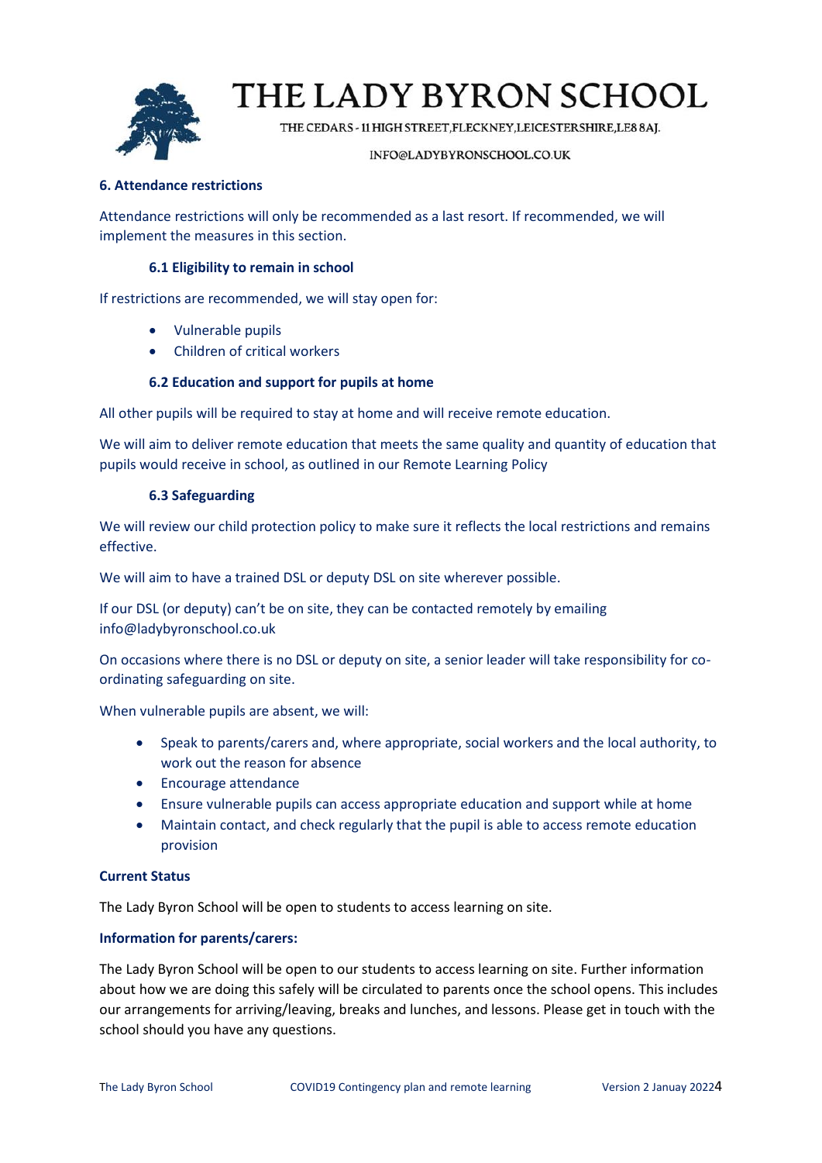

THE CEDARS - 11 HIGH STREET, FLECKNEY, LEICESTERSHIRE, LE8 8AJ.

#### INFO@LADYBYRONSCHOOL.CO.UK

## **6. Attendance restrictions**

Attendance restrictions will only be recommended as a last resort. If recommended, we will implement the measures in this section.

## **6.1 Eligibility to remain in school**

If restrictions are recommended, we will stay open for:

- Vulnerable pupils
- Children of critical workers

## **6.2 Education and support for pupils at home**

All other pupils will be required to stay at home and will receive remote education.

We will aim to deliver remote education that meets the same quality and quantity of education that pupils would receive in school, as outlined in our Remote Learning Policy

## **6.3 Safeguarding**

We will review our child protection policy to make sure it reflects the local restrictions and remains effective.

We will aim to have a trained DSL or deputy DSL on site wherever possible.

If our DSL (or deputy) can't be on site, they can be contacted remotely by emailing info@ladybyronschool.co.uk

On occasions where there is no DSL or deputy on site, a senior leader will take responsibility for coordinating safeguarding on site.

When vulnerable pupils are absent, we will:

- Speak to parents/carers and, where appropriate, social workers and the local authority, to work out the reason for absence
- Encourage attendance
- Ensure vulnerable pupils can access appropriate education and support while at home
- Maintain contact, and check regularly that the pupil is able to access remote education provision

## **Current Status**

The Lady Byron School will be open to students to access learning on site.

## **Information for parents/carers:**

The Lady Byron School will be open to our students to access learning on site. Further information about how we are doing this safely will be circulated to parents once the school opens. This includes our arrangements for arriving/leaving, breaks and lunches, and lessons. Please get in touch with the school should you have any questions.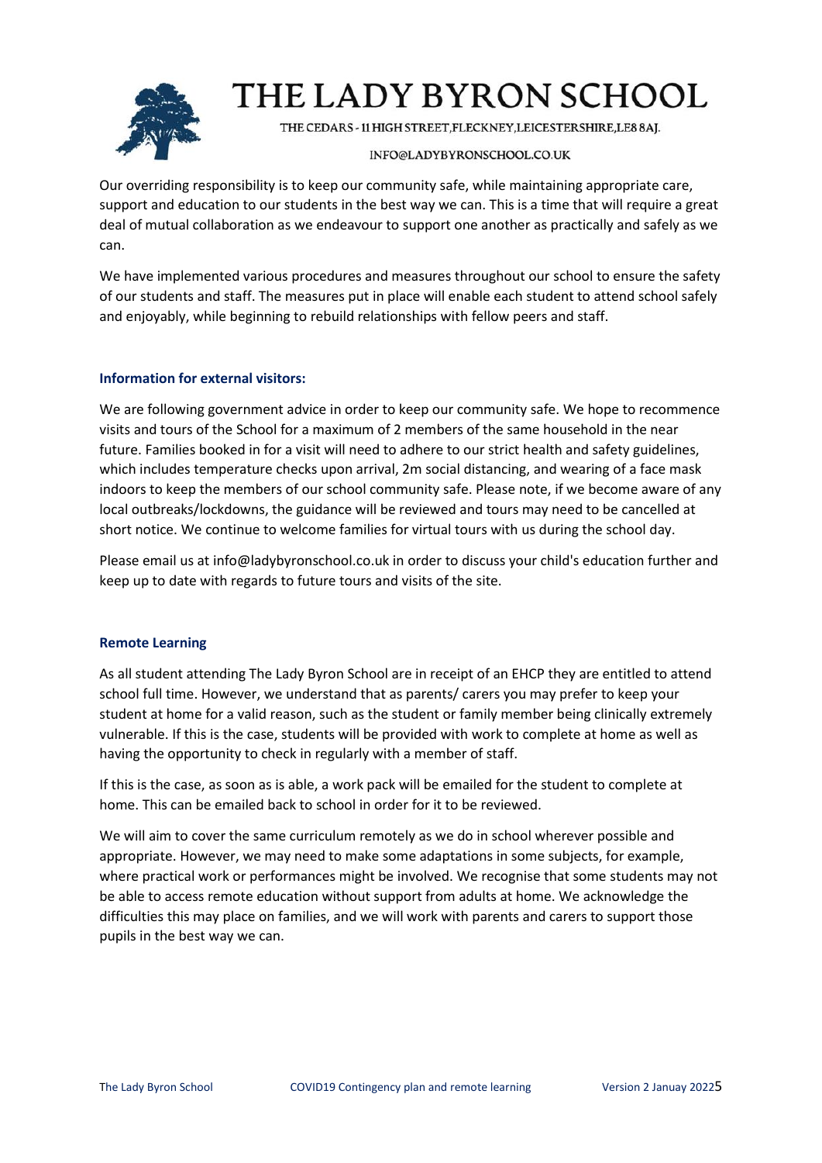

THE CEDARS - 11 HIGH STREET, FLECKNEY, LEICESTERSHIRE, LE8 8AJ.

### INFO@LADYBYRONSCHOOL.CO.UK

Our overriding responsibility is to keep our community safe, while maintaining appropriate care, support and education to our students in the best way we can. This is a time that will require a great deal of mutual collaboration as we endeavour to support one another as practically and safely as we can.

We have implemented various procedures and measures throughout our school to ensure the safety of our students and staff. The measures put in place will enable each student to attend school safely and enjoyably, while beginning to rebuild relationships with fellow peers and staff.

## **Information for external visitors:**

We are following government advice in order to keep our community safe. We hope to recommence visits and tours of the School for a maximum of 2 members of the same household in the near future. Families booked in for a visit will need to adhere to our strict health and safety guidelines, which includes temperature checks upon arrival, 2m social distancing, and wearing of a face mask indoors to keep the members of our school community safe. Please note, if we become aware of any local outbreaks/lockdowns, the guidance will be reviewed and tours may need to be cancelled at short notice. We continue to welcome families for virtual tours with us during the school day.

Please email us at info@ladybyronschool.co.uk in order to discuss your child's education further and keep up to date with regards to future tours and visits of the site.

## **Remote Learning**

As all student attending The Lady Byron School are in receipt of an EHCP they are entitled to attend school full time. However, we understand that as parents/ carers you may prefer to keep your student at home for a valid reason, such as the student or family member being clinically extremely vulnerable. If this is the case, students will be provided with work to complete at home as well as having the opportunity to check in regularly with a member of staff.

If this is the case, as soon as is able, a work pack will be emailed for the student to complete at home. This can be emailed back to school in order for it to be reviewed.

We will aim to cover the same curriculum remotely as we do in school wherever possible and appropriate. However, we may need to make some adaptations in some subjects, for example, where practical work or performances might be involved. We recognise that some students may not be able to access remote education without support from adults at home. We acknowledge the difficulties this may place on families, and we will work with parents and carers to support those pupils in the best way we can.